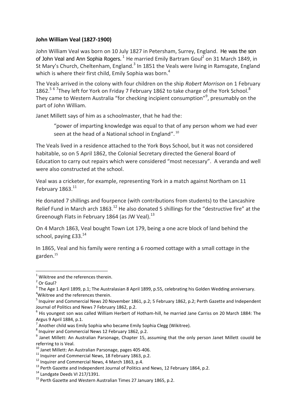## **John William Veal (1827-1900)**

John William Veal was born on 10 July 1827 in Petersham, Surrey, England. He was the son of John Veal and Ann Sophia Rogers.  $^1$  He married Emily Bartram Goul<sup>2</sup> on 31 March 1849, in St Mary's Church, Cheltenham, England.<sup>3</sup> In 1851 the Veals were living in Ramsgate, England which is where their first child, Emily Sophia was born.<sup>4</sup>

The Veals arrived in the colony with four children on the ship *Robert Morrison* on 1 February 1862.<sup>5 6 7</sup>They left for York on Friday 7 February 1862 to take charge of the York School.<sup>8</sup> They came to Western Australia "for checking incipient consumption"<sup>9</sup>, presumably on the part of John William.

Janet Millett says of him as a schoolmaster, that he had the:

"power of imparting knowledge was equal to that of any person whom we had ever seen at the head of a National school in England". <sup>10</sup>

The Veals lived in a residence attached to the York Boys School, but it was not considered habitable, so on 5 April 1862, the Colonial Secretary directed the General Board of Education to carry out repairs which were considered "most necessary". A veranda and well were also constructed at the school.

Veal was a cricketer, for example, representing York in a match against Northam on 11 February 1863.<sup>11</sup>

He donated 7 shillings and fourpence (with contributions from students) to the Lancashire Relief Fund in March arch 1863.<sup>12</sup> He also donated 5 shillings for the "destructive fire" at the Greenough Flats in February 1864 (as JW Veal). $^{13}$ 

On 4 March 1863, Veal bought Town Lot 179, being a one acre block of land behind the school, paying  $£33<sup>14</sup>$ 

In 1865, Veal and his family were renting a 6 roomed cottage with a small cottage in the garden.<sup>15</sup>

1

<sup>8</sup> Inquirer and Commercial News 12 February 1862, p.2.

 $1$  Wikitree and the references therein.

<sup>&</sup>lt;sup>2</sup> Or Gaul?

 $^3$  The Age 1 April 1899, p.1; The Australasian 8 April 1899, p.55, celebrating his Golden Wedding anniversary. <sup>4</sup>Wikitree and the references therein.

<sup>&</sup>lt;sup>5</sup> Inquirer and Commercial News 20 November 1861, p.2; 5 February 1862, p.2; Perth Gazette and Independent Journal of Politics and News 7 February 1862, p.2.

<sup>6</sup> His youngest son was called William Herbert of Hotham-hill, he married Jane Carriss on 20 March 1884: The Argus 9 April 1884, p.1.

<sup>7</sup> Another child was Emily Sophia who became Emily Sophia Clegg (Wikitree).

<sup>&</sup>lt;sup>9</sup> Janet Millett: An Australian Parsonage, Chapter 15, assuming that the only person Janet Millett couold be referring to is Veal.

 $^{10}$  Janet Millett: An Australian Parsonage, pages 405-406.

 $11$  Inquirer and Commercial News, 18 February 1863, p.2.

<sup>&</sup>lt;sup>12</sup> Inquirer and Commercial News, 4 March 1863, p.4.

 $13$  Perth Gazette and Independent Journal of Politics and News, 12 February 1864, p.2.

<sup>14</sup> Landgate Deeds VI 217/1391.

<sup>15</sup> Perth Gazette and Western Australian Times 27 January 1865, p.2.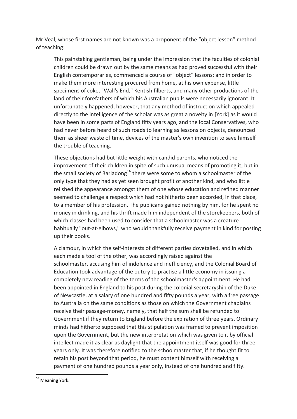Mr Veal, whose first names are not known was a proponent of the "object lesson" method of teaching:

This painstaking gentleman, being under the impression that the faculties of colonial children could be drawn out by the same means as had proved successful with their English contemporaries, commenced a course of "object" lessons; and in order to make them more interesting procured from home, at his own expense, little specimens of coke, "Wall's End," Kentish filberts, and many other productions of the land of their forefathers of which his Australian pupils were necessarily ignorant. It unfortunately happened, however, that any method of instruction which appealed directly to the intelligence of the scholar was as great a novelty in [York] as it would have been in some parts of England fifty years ago, and the local Conservatives, who had never before heard of such roads to learning as lessons on objects, denounced them as sheer waste of time, devices of the master's own invention to save himself the trouble of teaching.

These objections had but little weight with candid parents, who noticed the improvement of their children in spite of such unusual means of promoting it; but in the small society of Barladong<sup>16</sup> there were some to whom a schoolmaster of the only type that they had as yet seen brought profit of another kind, and who little relished the appearance amongst them of one whose education and refined manner seemed to challenge a respect which had not hitherto been accorded, in that place, to a member of his profession. The publicans gained nothing by him, for he spent no money in drinking, and his thrift made him independent of the storekeepers, both of which classes had been used to consider that a schoolmaster was a creature habitually "out-at-elbows," who would thankfully receive payment in kind for posting up their books.

A clamour, in which the self-interests of different parties dovetailed, and in which each made a tool of the other, was accordingly raised against the schoolmaster, accusing him of indolence and inefficiency, and the Colonial Board of Education took advantage of the outcry to practise a little economy in issuing a completely new reading of the terms of the schoolmaster's appointment. He had been appointed in England to his post during the colonial secretaryship of the Duke of Newcastle, at a salary of one hundred and fifty pounds a year, with a free passage to Australia on the same conditions as those on which the Government chaplains receive their passage-money, namely, that half the sum shall be refunded to Government if they return to England before the expiration of three years. Ordinary minds had hitherto supposed that this stipulation was framed to prevent imposition upon the Government, but the new interpretation which was given to it by official intellect made it as clear as daylight that the appointment itself was good for three years only. It was therefore notified to the schoolmaster that, if he thought fit to retain his post beyond that period, he must content himself with receiving a payment of one hundred pounds a year only, instead of one hundred and fifty.

**.** 

<sup>&</sup>lt;sup>16</sup> Meaning York.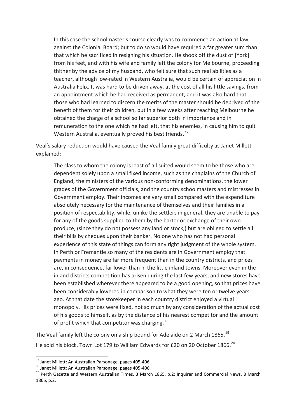In this case the schoolmaster's course clearly was to commence an action at law against the Colonial Board; but to do so would have required a far greater sum than that which he sacrificed in resigning his situation. He shook off the dust of [York] from his feet, and with his wife and family left the colony for Melbourne, proceeding thither by the advice of my husband, who felt sure that such real abilities as a teacher, although low-rated in Western Australia, would be certain of appreciation in Australia Felix. It was hard to be driven away, at the cost of all his little savings, from an appointment which he had received as permanent, and it was also hard that those who had learned to discern the merits of the master should be deprived of the benefit of them for their children, but in a few weeks after reaching Melbourne he obtained the charge of a school so far superior both in importance and in remuneration to the one which he had left, that his enemies, in causing him to quit Western Australia, eventually proved his best friends.<sup>17</sup>

Veal's salary reduction would have caused the Veal family great difficulty as Janet Millett explained:

The class to whom the colony is least of all suited would seem to be those who are dependent solely upon a small fixed income, such as the chaplains of the Church of England, the ministers of the various non-conforming denominations, the lower grades of the Government officials, and the country schoolmasters and mistresses in Government employ. Their incomes are very small compared with the expenditure absolutely necessary for the maintenance of themselves and their families in a position of respectability, while, unlike the settlers in general, they are unable to pay for any of the goods supplied to them by the barter or exchange of their own produce, (since they do not possess any land or stock,) but are obliged to settle all their bills by cheques upon their banker. No one who has not had personal experience of this state of things can form any right judgment of the whole system. In Perth or Fremantle so many of the residents are in Government employ that payments in money are far more frequent than in the country districts, and prices are, in consequence, far lower than in the little inland towns. Moreover even in the inland districts competition has arisen during the last few years, and new stores have been established wherever there appeared to be a good opening, so that prices have been considerably lowered in comparison to what they were ten or twelve years ago. At that date the storekeeper in each country district enjoyed a virtual monopoly. His prices were fixed, not so much by any consideration of the actual cost of his goods to himself, as by the distance of his nearest competitor and the amount of profit which that competitor was charging.<sup>18</sup>

The Veal family left the colony on a ship bound for Adelaide on 2 March 1865.<sup>19</sup> He sold his block, Town Lot 179 to William Edwards for £20 on 20 October 1866. $^{20}$ 

**.** 

 $^{17}$  Janet Millett: An Australian Parsonage, pages 405-406.

<sup>18</sup> Janet Millett: An Australian Parsonage, pages 405-406.

<sup>&</sup>lt;sup>19</sup> Perth Gazette and Western Australian Times, 3 March 1865, p.2; Inquirer and Commercial News, 8 March 1865, p.2.